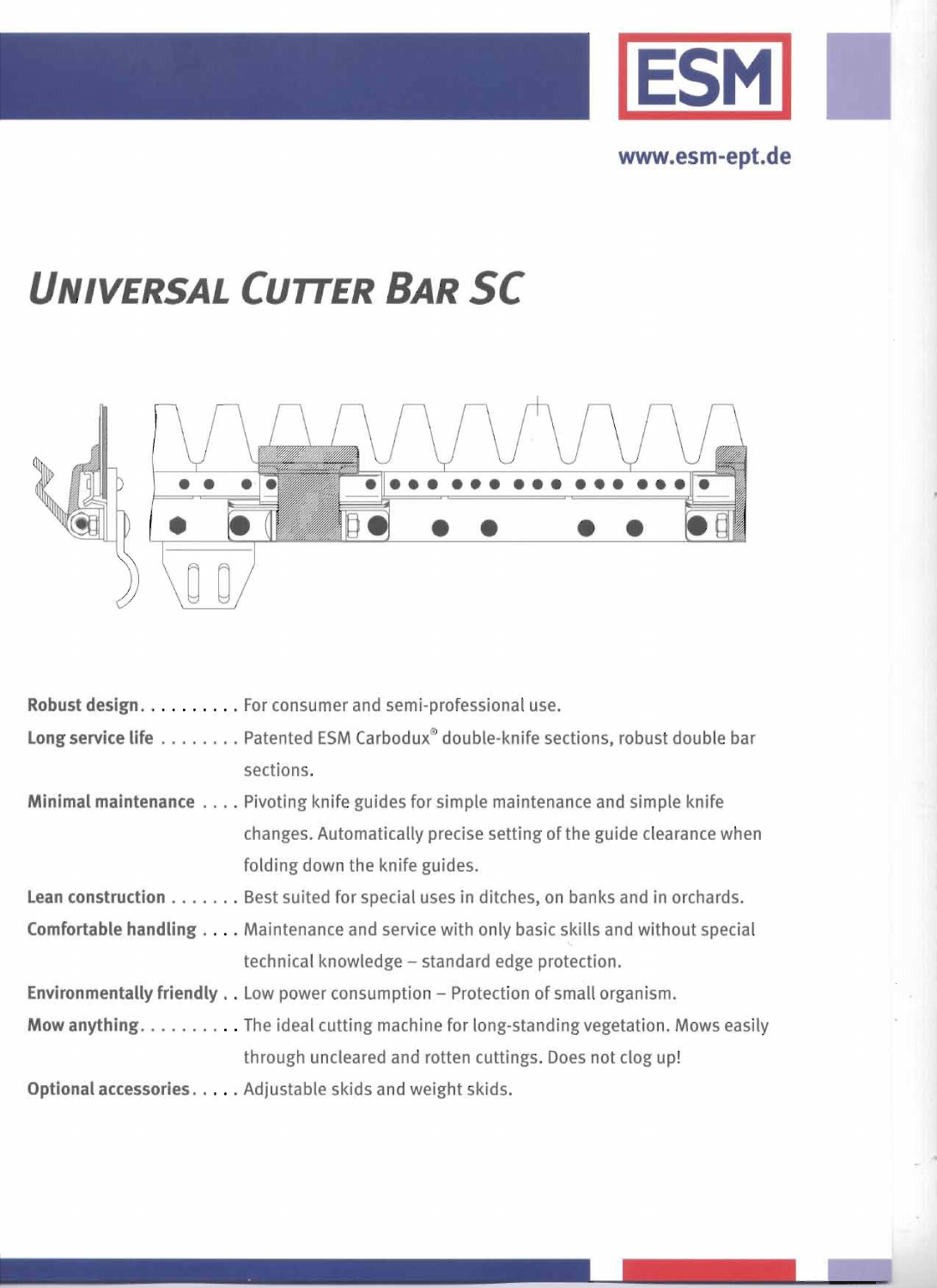

www.esm-ept.de

## **UNIVERSAL CUTTER BAR SC**



| Robust design. For consumer and semi-professional use.                                               |
|------------------------------------------------------------------------------------------------------|
| <b>Long service life</b> Patented ESM Carbodux <sup>®</sup> double-knife sections, robust double bar |
| sections.                                                                                            |
| Minimal maintenance Pivoting knife guides for simple maintenance and simple knife                    |
| changes. Automatically precise setting of the guide clearance when                                   |
| folding down the knife guides.                                                                       |
| Lean construction Best suited for special uses in ditches, on banks and in orchards.                 |
| <b>Comfortable handling</b> , Maintenance and service with only basic skills and without special     |
| technical knowledge - standard edge protection.                                                      |
| Environmentally friendly Low power consumption - Protection of small organism.                       |
| Mow anything. The ideal cutting machine for long-standing vegetation. Mows easily                    |
| through uncleared and rotten cuttings. Does not clog up!                                             |
| Optional accessories. Adjustable skids and weight skids.                                             |